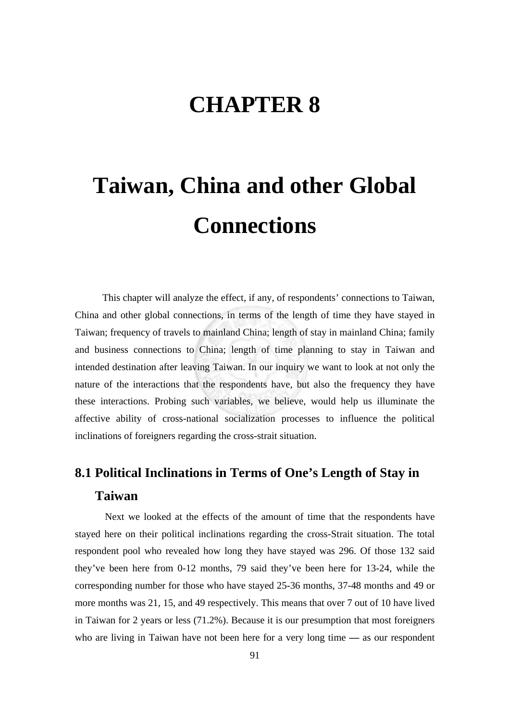## **CHAPTER 8**

# **Taiwan, China and other Global Connections**

This chapter will analyze the effect, if any, of respondents' connections to Taiwan, China and other global connections, in terms of the length of time they have stayed in Taiwan; frequency of travels to mainland China; length of stay in mainland China; family and business connections to China; length of time planning to stay in Taiwan and intended destination after leaving Taiwan. In our inquiry we want to look at not only the nature of the interactions that the respondents have, but also the frequency they have these interactions. Probing such variables, we believe, would help us illuminate the affective ability of cross-national socialization processes to influence the political inclinations of foreigners regarding the cross-strait situation.

#### **8.1 Political Inclinations in Terms of One's Length of Stay in Taiwan**

 Next we looked at the effects of the amount of time that the respondents have stayed here on their political inclinations regarding the cross-Strait situation. The total respondent pool who revealed how long they have stayed was 296. Of those 132 said they've been here from 0-12 months, 79 said they've been here for 13-24, while the corresponding number for those who have stayed 25-36 months, 37-48 months and 49 or more months was 21, 15, and 49 respectively. This means that over 7 out of 10 have lived in Taiwan for 2 years or less (71.2%). Because it is our presumption that most foreigners who are living in Taiwan have not been here for a very long time **—** as our respondent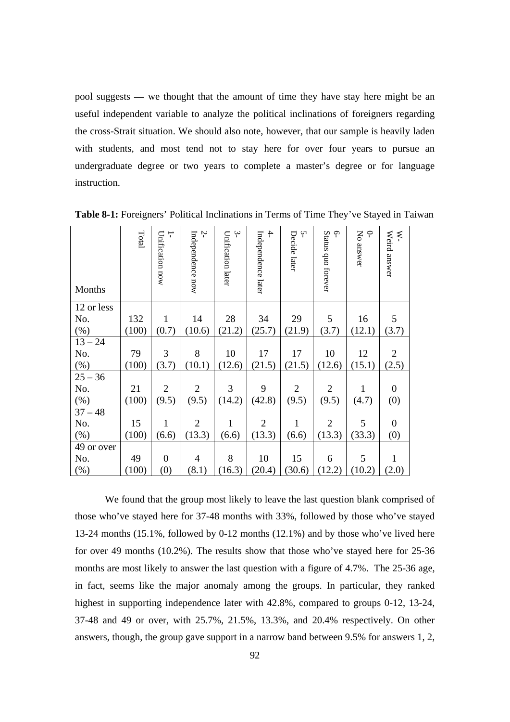pool suggests **—** we thought that the amount of time they have stay here might be an useful independent variable to analyze the political inclinations of foreigners regarding the cross-Strait situation. We should also note, however, that our sample is heavily laden with students, and most tend not to stay here for over four years to pursue an undergraduate degree or two years to complete a master's degree or for language instruction.

| Months     | Total | Unification now<br>┬ | Ņ<br>Independence now | $\ddot{ }$<br>Unification later | $\ddot{+}$<br>Independence later | Ņ<br>Decide later | $\varphi$<br>Status quo forever | No answer<br>$\subset$ | Weird answer<br>Ķ- |
|------------|-------|----------------------|-----------------------|---------------------------------|----------------------------------|-------------------|---------------------------------|------------------------|--------------------|
| 12 or less |       |                      |                       |                                 |                                  |                   |                                 |                        |                    |
| No.        | 132   | $\mathbf{1}$         | 14                    | 28                              | 34                               | 29                | 5                               | 16                     | 5                  |
| $(\%)$     | (100) | (0.7)                | (10.6)                | (21.2)                          | (25.7)                           | (21.9)            | (3.7)                           | (12.1)                 | (3.7)              |
| $13 - 24$  |       |                      |                       |                                 |                                  |                   |                                 |                        |                    |
| No.        | 79    | 3                    | 8                     | 10                              | 17                               | 17                | 10                              | 12                     | $\overline{2}$     |
| $(\% )$    | (100) | (3.7)                | (10.1)                | (12.6)                          | (21.5)                           | (21.5)            | (12.6)                          | (15.1)                 | (2.5)              |
| $25 - 36$  |       |                      |                       |                                 |                                  |                   |                                 |                        |                    |
| No.        | 21    | $\overline{2}$       | $\overline{2}$        | 3                               | 9                                | $\overline{2}$    | $\overline{2}$                  | 1                      | $\boldsymbol{0}$   |
| $(\% )$    | (100) | (9.5)                | (9.5)                 | (14.2)                          | (42.8)                           | (9.5)             | (9.5)                           | (4.7)                  | (0)                |
| $37 - 48$  |       |                      |                       |                                 |                                  |                   |                                 |                        |                    |
| No.        | 15    | 1                    | $\overline{2}$        | 1                               | $\overline{2}$                   | $\mathbf{1}$      | $\overline{2}$                  | 5                      | $\boldsymbol{0}$   |
| $(\%)$     | (100) | (6.6)                | (13.3)                | (6.6)                           | (13.3)                           | (6.6)             | (13.3)                          | (33.3)                 | (0)                |
| 49 or over |       |                      |                       |                                 |                                  |                   |                                 |                        |                    |
| No.        | 49    | $\overline{0}$       | $\overline{4}$        | 8                               | 10                               | 15                | 6                               | 5                      | $\mathbf{1}$       |
| (%)        | (100) | (0)                  | (8.1)                 | (16.3)                          | (20.4)                           | (30.6)            | (12.2)                          | (10.2)                 | (2.0)              |

**Table 8-1:** Foreigners' Political Inclinations in Terms of Time They've Stayed in Taiwan

 We found that the group most likely to leave the last question blank comprised of those who've stayed here for 37-48 months with 33%, followed by those who've stayed 13-24 months (15.1%, followed by 0-12 months (12.1%) and by those who've lived here for over 49 months (10.2%). The results show that those who've stayed here for 25-36 months are most likely to answer the last question with a figure of 4.7%. The 25-36 age, in fact, seems like the major anomaly among the groups. In particular, they ranked highest in supporting independence later with 42.8%, compared to groups 0-12, 13-24, 37-48 and 49 or over, with 25.7%, 21.5%, 13.3%, and 20.4% respectively. On other answers, though, the group gave support in a narrow band between 9.5% for answers 1, 2,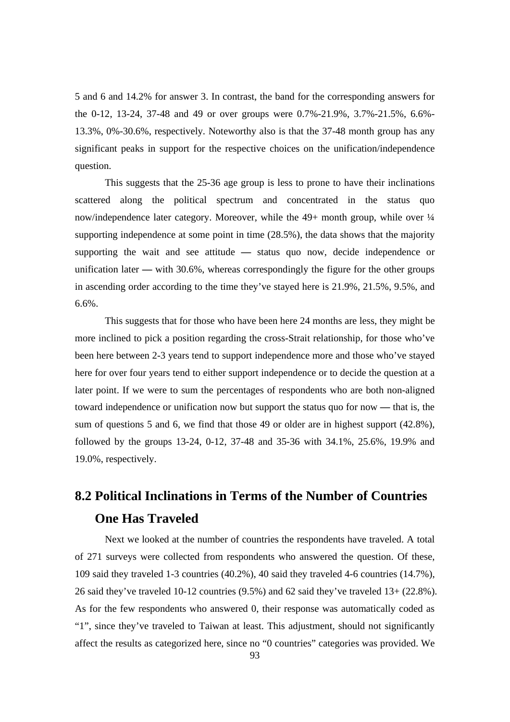5 and 6 and 14.2% for answer 3. In contrast, the band for the corresponding answers for the 0-12, 13-24, 37-48 and 49 or over groups were 0.7%-21.9%, 3.7%-21.5%, 6.6%- 13.3%, 0%-30.6%, respectively. Noteworthy also is that the 37-48 month group has any significant peaks in support for the respective choices on the unification/independence question.

This suggests that the 25-36 age group is less to prone to have their inclinations scattered along the political spectrum and concentrated in the status quo now/independence later category. Moreover, while the 49+ month group, while over  $\frac{1}{4}$ supporting independence at some point in time (28.5%), the data shows that the majority supporting the wait and see attitude **—** status quo now, decide independence or unification later **—** with 30.6%, whereas correspondingly the figure for the other groups in ascending order according to the time they've stayed here is 21.9%, 21.5%, 9.5%, and 6.6%.

This suggests that for those who have been here 24 months are less, they might be more inclined to pick a position regarding the cross-Strait relationship, for those who've been here between 2-3 years tend to support independence more and those who've stayed here for over four years tend to either support independence or to decide the question at a later point. If we were to sum the percentages of respondents who are both non-aligned toward independence or unification now but support the status quo for now **—** that is, the sum of questions 5 and 6, we find that those 49 or older are in highest support (42.8%), followed by the groups 13-24, 0-12, 37-48 and 35-36 with 34.1%, 25.6%, 19.9% and 19.0%, respectively.

#### **8.2 Political Inclinations in Terms of the Number of Countries One Has Traveled**

 Next we looked at the number of countries the respondents have traveled. A total of 271 surveys were collected from respondents who answered the question. Of these, 109 said they traveled 1-3 countries (40.2%), 40 said they traveled 4-6 countries (14.7%), 26 said they've traveled 10-12 countries (9.5%) and 62 said they've traveled 13+ (22.8%). As for the few respondents who answered 0, their response was automatically coded as "1", since they've traveled to Taiwan at least. This adjustment, should not significantly affect the results as categorized here, since no "0 countries" categories was provided. We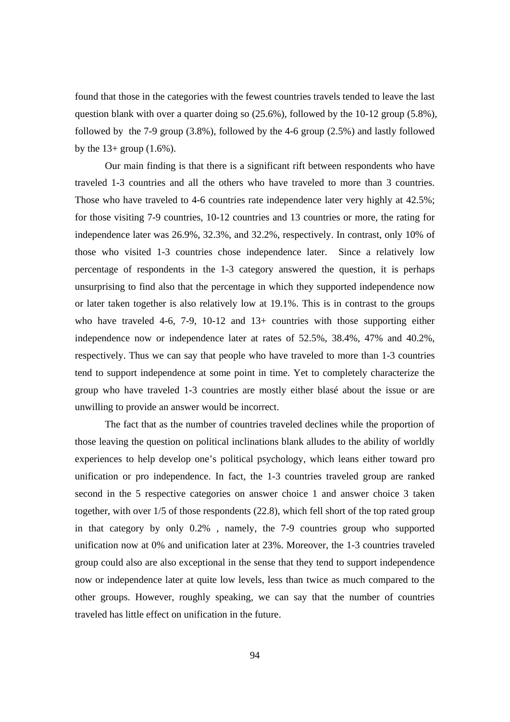found that those in the categories with the fewest countries travels tended to leave the last question blank with over a quarter doing so (25.6%), followed by the 10-12 group (5.8%), followed by the 7-9 group (3.8%), followed by the 4-6 group (2.5%) and lastly followed by the  $13+$  group  $(1.6\%)$ .

Our main finding is that there is a significant rift between respondents who have traveled 1-3 countries and all the others who have traveled to more than 3 countries. Those who have traveled to 4-6 countries rate independence later very highly at 42.5%; for those visiting 7-9 countries, 10-12 countries and 13 countries or more, the rating for independence later was 26.9%, 32.3%, and 32.2%, respectively. In contrast, only 10% of those who visited 1-3 countries chose independence later. Since a relatively low percentage of respondents in the 1-3 category answered the question, it is perhaps unsurprising to find also that the percentage in which they supported independence now or later taken together is also relatively low at 19.1%. This is in contrast to the groups who have traveled 4-6, 7-9, 10-12 and  $13+$  countries with those supporting either independence now or independence later at rates of 52.5%, 38.4%, 47% and 40.2%, respectively. Thus we can say that people who have traveled to more than 1-3 countries tend to support independence at some point in time. Yet to completely characterize the group who have traveled 1-3 countries are mostly either blasé about the issue or are unwilling to provide an answer would be incorrect.

The fact that as the number of countries traveled declines while the proportion of those leaving the question on political inclinations blank alludes to the ability of worldly experiences to help develop one's political psychology, which leans either toward pro unification or pro independence. In fact, the 1-3 countries traveled group are ranked second in the 5 respective categories on answer choice 1 and answer choice 3 taken together, with over 1/5 of those respondents (22.8), which fell short of the top rated group in that category by only 0.2% , namely, the 7-9 countries group who supported unification now at 0% and unification later at 23%. Moreover, the 1-3 countries traveled group could also are also exceptional in the sense that they tend to support independence now or independence later at quite low levels, less than twice as much compared to the other groups. However, roughly speaking, we can say that the number of countries traveled has little effect on unification in the future.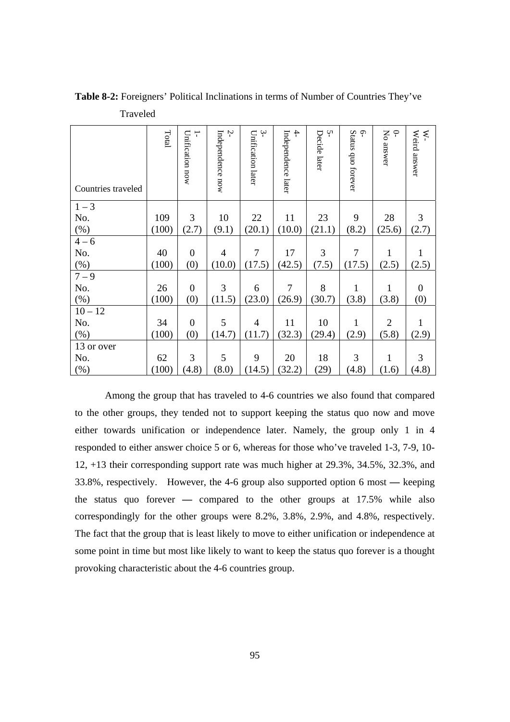| Countries traveled | Total | T<br>Unification now | Ņ<br>Independence now | $\sim$<br>Unification later | $\ddot{+}$<br>Independence later | Ņ<br>Decide later | Status quo forever<br>Ģ | No answer<br>P | Weird answer<br>$\lesssim$ |
|--------------------|-------|----------------------|-----------------------|-----------------------------|----------------------------------|-------------------|-------------------------|----------------|----------------------------|
| $1 - 3$            |       |                      |                       |                             |                                  |                   |                         |                |                            |
| No.                | 109   | 3                    | 10                    | 22                          | 11                               | 23                | 9                       | 28             | 3                          |
| $(\%)$             | (100) | (2.7)                | (9.1)                 | (20.1)                      | (10.0)                           | (21.1)            | (8.2)                   | (25.6)         | (2.7)                      |
| $4 - 6$            |       |                      |                       |                             |                                  |                   |                         |                |                            |
| No.                | 40    | $\theta$             | $\overline{4}$        | 7                           | 17                               | 3                 | 7                       | 1              |                            |
| $(\%)$             | (100) | (0)                  | (10.0)                | (17.5)                      | (42.5)                           | (7.5)             | (17.5)                  | (2.5)          | (2.5)                      |
| $7 - 9$            |       |                      |                       |                             |                                  |                   |                         |                |                            |
| No.                | 26    | $\mathbf{0}$         | 3                     | 6                           | $\overline{7}$                   | 8                 | $\mathbf{1}$            | $\mathbf{1}$   | $\overline{0}$             |
| $(\%)$             | (100) | (0)                  | (11.5)                | (23.0)                      | (26.9)                           | (30.7)            | (3.8)                   | (3.8)          | (0)                        |
| $10 - 12$          |       |                      |                       |                             |                                  |                   |                         |                |                            |
| No.                | 34    | $\mathbf{0}$         | 5                     | $\overline{4}$              | 11                               | 10                | $\mathbf{1}$            | $\overline{2}$ | 1                          |
| (% )               | (100) | (0)                  | (14.7)                | (11.7)                      | (32.3)                           | (29.4)            | (2.9)                   | (5.8)          | (2.9)                      |
| 13 or over         |       |                      |                       |                             |                                  |                   |                         |                |                            |
| No.                | 62    | 3                    | 5                     | 9                           | 20                               | 18                | 3                       | 1              | 3                          |
| (%)                | (100) | (4.8)                | (8.0)                 | (14.5)                      | (32.2)                           | (29)              | (4.8)                   | (1.6)          | (4.8)                      |

**Table 8-2:** Foreigners' Political Inclinations in terms of Number of Countries They've Traveled

Among the group that has traveled to 4-6 countries we also found that compared to the other groups, they tended not to support keeping the status quo now and move either towards unification or independence later. Namely, the group only 1 in 4 responded to either answer choice 5 or 6, whereas for those who've traveled 1-3, 7-9, 10- 12, +13 their corresponding support rate was much higher at 29.3%, 34.5%, 32.3%, and 33.8%, respectively. However, the 4-6 group also supported option 6 most **—** keeping the status quo forever **—** compared to the other groups at 17.5% while also correspondingly for the other groups were 8.2%, 3.8%, 2.9%, and 4.8%, respectively. The fact that the group that is least likely to move to either unification or independence at some point in time but most like likely to want to keep the status quo forever is a thought provoking characteristic about the 4-6 countries group.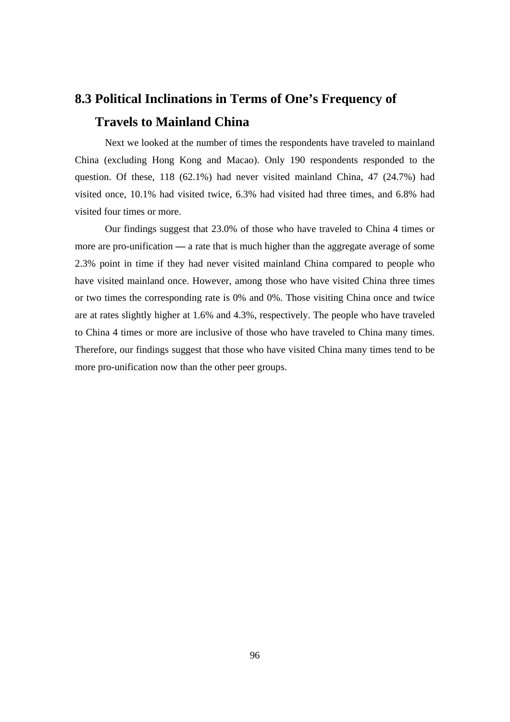#### **8.3 Political Inclinations in Terms of One's Frequency of Travels to Mainland China**

 Next we looked at the number of times the respondents have traveled to mainland China (excluding Hong Kong and Macao). Only 190 respondents responded to the question. Of these, 118 (62.1%) had never visited mainland China, 47 (24.7%) had visited once, 10.1% had visited twice, 6.3% had visited had three times, and 6.8% had visited four times or more.

Our findings suggest that 23.0% of those who have traveled to China 4 times or more are pro-unification **—** a rate that is much higher than the aggregate average of some 2.3% point in time if they had never visited mainland China compared to people who have visited mainland once. However, among those who have visited China three times or two times the corresponding rate is 0% and 0%. Those visiting China once and twice are at rates slightly higher at 1.6% and 4.3%, respectively. The people who have traveled to China 4 times or more are inclusive of those who have traveled to China many times. Therefore, our findings suggest that those who have visited China many times tend to be more pro-unification now than the other peer groups.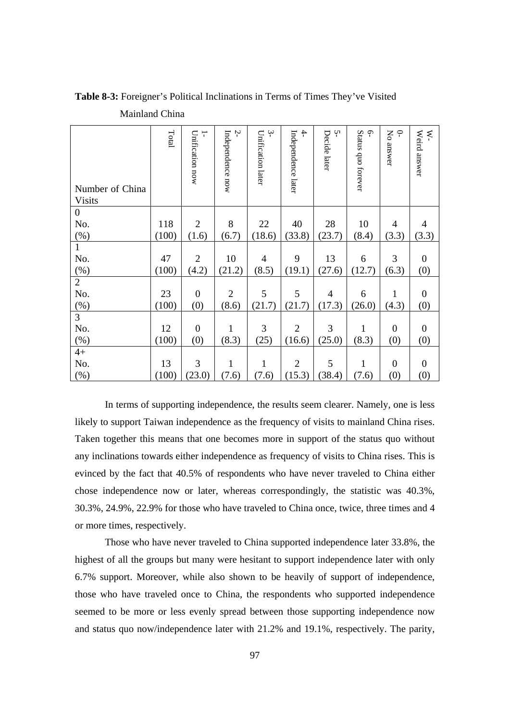| Number of China<br><b>Visits</b> | Total | ÷<br>Unification now | Ņ<br>Independence now | $\ddot{ }$<br>Unification later | $\ddot{+}$<br>Independence later | Ņ<br>Decide later | <b>م</b> ۔<br>Status quo forever | $\varphi$<br>Σρ<br>answer | Weird answer<br>×- |
|----------------------------------|-------|----------------------|-----------------------|---------------------------------|----------------------------------|-------------------|----------------------------------|---------------------------|--------------------|
| $\boldsymbol{0}$                 |       |                      |                       |                                 |                                  |                   |                                  |                           |                    |
| No.                              | 118   | $\overline{2}$       | 8                     | 22                              | 40                               | 28                | 10                               | $\overline{4}$            | $\overline{4}$     |
| $(\%)$                           | (100) | (1.6)                | (6.7)                 | (18.6)                          | (33.8)                           | (23.7)            | (8.4)                            | (3.3)                     | (3.3)              |
| $\mathbf{1}$                     |       |                      |                       |                                 |                                  |                   |                                  |                           |                    |
| No.                              | 47    | $\overline{2}$       | 10                    | $\overline{4}$                  | 9                                | 13                | 6                                | 3                         | $\boldsymbol{0}$   |
| (%)                              | (100) | (4.2)                | (21.2)                | (8.5)                           | (19.1)                           | (27.6)            | (12.7)                           | (6.3)                     | (0)                |
| $\overline{2}$                   |       |                      |                       |                                 |                                  |                   |                                  |                           |                    |
| No.                              | 23    | $\boldsymbol{0}$     | $\overline{2}$        | 5                               | 5                                | $\overline{4}$    | 6                                | 1                         | $\boldsymbol{0}$   |
| (%)                              | (100) | (0)                  | (8.6)                 | (21.7)                          | (21.7)                           | (17.3)            | (26.0)                           | (4.3)                     | (0)                |
| $\overline{3}$                   |       |                      |                       |                                 |                                  |                   |                                  |                           |                    |
| No.                              | 12    | $\boldsymbol{0}$     | $\mathbf{1}$          | 3                               | $\overline{2}$                   | 3                 | $\mathbf 1$                      | $\boldsymbol{0}$          | $\boldsymbol{0}$   |
| (%)                              | (100) | (0)                  | (8.3)                 | (25)                            | (16.6)                           | (25.0)            | (8.3)                            | (0)                       | (0)                |
| $4+$                             |       |                      |                       |                                 |                                  |                   |                                  |                           |                    |
| No.                              | 13    | 3                    | $\mathbf{1}$          | $\mathbf{1}$                    | $\overline{2}$                   | 5                 | $\mathbf 1$                      | $\boldsymbol{0}$          | $\boldsymbol{0}$   |
| (%)                              | (100) | (23.0)               | (7.6)                 | (7.6)                           | (15.3)                           | (38.4)            | (7.6)                            | (0)                       | (0)                |

**Table 8-3:** Foreigner's Political Inclinations in Terms of Times They've Visited Mainland China

 In terms of supporting independence, the results seem clearer. Namely, one is less likely to support Taiwan independence as the frequency of visits to mainland China rises. Taken together this means that one becomes more in support of the status quo without any inclinations towards either independence as frequency of visits to China rises. This is evinced by the fact that 40.5% of respondents who have never traveled to China either chose independence now or later, whereas correspondingly, the statistic was 40.3%, 30.3%, 24.9%, 22.9% for those who have traveled to China once, twice, three times and 4 or more times, respectively.

Those who have never traveled to China supported independence later 33.8%, the highest of all the groups but many were hesitant to support independence later with only 6.7% support. Moreover, while also shown to be heavily of support of independence, those who have traveled once to China, the respondents who supported independence seemed to be more or less evenly spread between those supporting independence now and status quo now/independence later with 21.2% and 19.1%, respectively. The parity,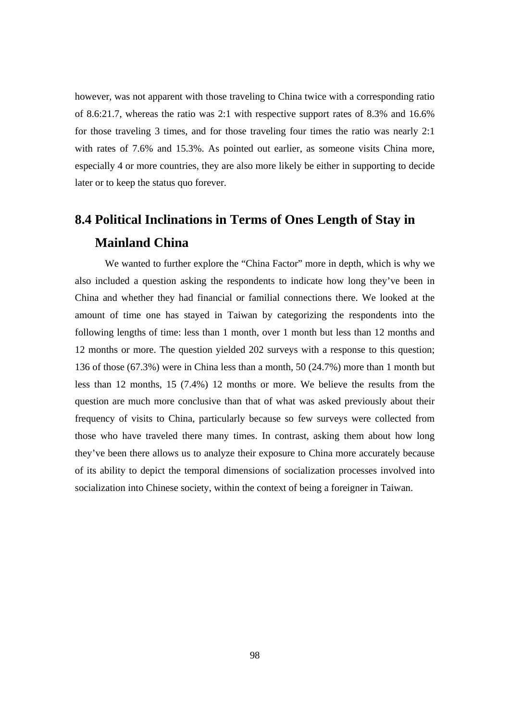however, was not apparent with those traveling to China twice with a corresponding ratio of 8.6:21.7, whereas the ratio was 2:1 with respective support rates of 8.3% and 16.6% for those traveling 3 times, and for those traveling four times the ratio was nearly 2:1 with rates of 7.6% and 15.3%. As pointed out earlier, as someone visits China more, especially 4 or more countries, they are also more likely be either in supporting to decide later or to keep the status quo forever.

#### **8.4 Political Inclinations in Terms of Ones Length of Stay in Mainland China**

 We wanted to further explore the "China Factor" more in depth, which is why we also included a question asking the respondents to indicate how long they've been in China and whether they had financial or familial connections there. We looked at the amount of time one has stayed in Taiwan by categorizing the respondents into the following lengths of time: less than 1 month, over 1 month but less than 12 months and 12 months or more. The question yielded 202 surveys with a response to this question; 136 of those (67.3%) were in China less than a month, 50 (24.7%) more than 1 month but less than 12 months, 15 (7.4%) 12 months or more. We believe the results from the question are much more conclusive than that of what was asked previously about their frequency of visits to China, particularly because so few surveys were collected from those who have traveled there many times. In contrast, asking them about how long they've been there allows us to analyze their exposure to China more accurately because of its ability to depict the temporal dimensions of socialization processes involved into socialization into Chinese society, within the context of being a foreigner in Taiwan.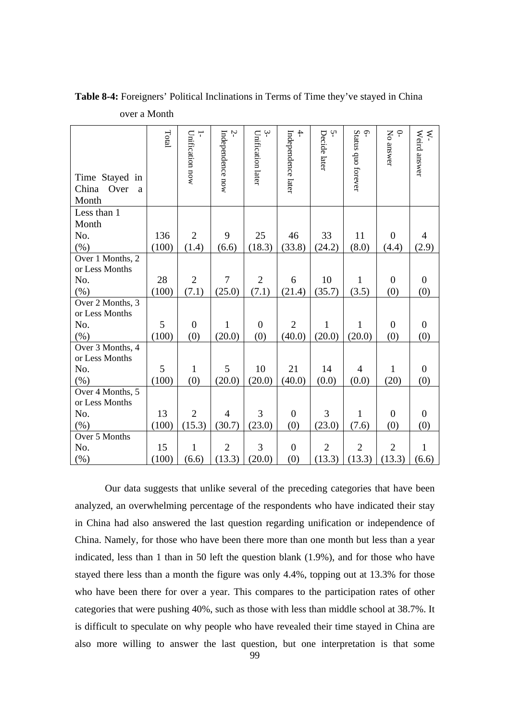| Time Stayed in<br>China<br>Over<br>a<br>Month | Total | Unification now<br>$\overline{1}$ | Ņ<br>Independence now | $\sim$<br>Unification later | $rac{4}{1}$<br>Independence later | Ļ٦<br>Decide later | 6-<br>Status quo forever | $\subset$<br>No answer | W-<br>Weird answer |
|-----------------------------------------------|-------|-----------------------------------|-----------------------|-----------------------------|-----------------------------------|--------------------|--------------------------|------------------------|--------------------|
| Less than 1                                   |       |                                   |                       |                             |                                   |                    |                          |                        |                    |
| Month                                         |       |                                   |                       |                             |                                   |                    |                          |                        |                    |
| No.                                           | 136   | $\overline{2}$                    | 9                     | 25                          | 46                                | 33                 | 11                       | $\boldsymbol{0}$       | $\overline{4}$     |
| $(\%)$                                        | (100) | (1.4)                             | (6.6)                 | (18.3)                      | (33.8)                            | (24.2)             | (8.0)                    | (4.4)                  | (2.9)              |
| Over 1 Months, 2<br>or Less Months            |       |                                   |                       |                             |                                   |                    |                          |                        |                    |
| No.                                           | 28    | $\overline{2}$                    | 7                     | $\overline{2}$              | 6                                 | 10                 | 1                        | $\boldsymbol{0}$       | $\overline{0}$     |
| $(\% )$                                       | (100) | (7.1)                             | (25.0)                | (7.1)                       | (21.4)                            | (35.7)             | (3.5)                    | (0)                    | (0)                |
| Over 2 Months, 3                              |       |                                   |                       |                             |                                   |                    |                          |                        |                    |
| or Less Months                                |       |                                   |                       |                             |                                   |                    |                          |                        |                    |
| No.                                           | 5     | $\overline{0}$                    | $\mathbf{1}$          | $\overline{0}$              | $\overline{2}$                    | $\mathbf{1}$       | 1                        | $\overline{0}$         | $\boldsymbol{0}$   |
| $(\%)$                                        | (100) | (0)                               | (20.0)                | (0)                         | (40.0)                            | (20.0)             | (20.0)                   | (0)                    | (0)                |
| Over 3 Months, 4                              |       |                                   |                       |                             |                                   |                    |                          |                        |                    |
| or Less Months                                |       |                                   |                       |                             |                                   |                    |                          |                        |                    |
| No.                                           | 5     | 1                                 | 5                     | 10                          | 21                                | 14                 | $\overline{4}$           | $\mathbf{1}$           | $\boldsymbol{0}$   |
| $(\% )$                                       | (100) | (0)                               | (20.0)                | (20.0)                      | (40.0)                            | (0.0)              | (0.0)                    | (20)                   | (0)                |
| Over 4 Months, 5                              |       |                                   |                       |                             |                                   |                    |                          |                        |                    |
| or Less Months                                |       |                                   |                       |                             |                                   |                    |                          |                        |                    |
| No.                                           | 13    | $\overline{2}$                    | $\overline{4}$        | 3                           | $\boldsymbol{0}$                  | 3                  | 1                        | $\boldsymbol{0}$       | $\overline{0}$     |
| $(\% )$                                       | (100) | (15.3)                            | (30.7)                | (23.0)                      | (0)                               | (23.0)             | (7.6)                    | (0)                    | (0)                |
| Over 5 Months                                 |       |                                   |                       |                             |                                   |                    |                          |                        |                    |
| No.                                           | 15    | 1                                 | $\overline{2}$        | 3                           | $\overline{0}$                    | $\overline{2}$     | $\overline{2}$           | $\overline{2}$         | $\mathbf{1}$       |
| $(\%)$                                        | (100) | (6.6)                             | (13.3)                | (20.0)                      | (0)                               | (13.3)             | (13.3)                   | (13.3)                 | (6.6)              |

**Table 8-4:** Foreigners' Political Inclinations in Terms of Time they've stayed in China over a Month

Our data suggests that unlike several of the preceding categories that have been analyzed, an overwhelming percentage of the respondents who have indicated their stay in China had also answered the last question regarding unification or independence of China. Namely, for those who have been there more than one month but less than a year indicated, less than 1 than in 50 left the question blank (1.9%), and for those who have stayed there less than a month the figure was only 4.4%, topping out at 13.3% for those who have been there for over a year. This compares to the participation rates of other categories that were pushing 40%, such as those with less than middle school at 38.7%. It is difficult to speculate on why people who have revealed their time stayed in China are also more willing to answer the last question, but one interpretation is that some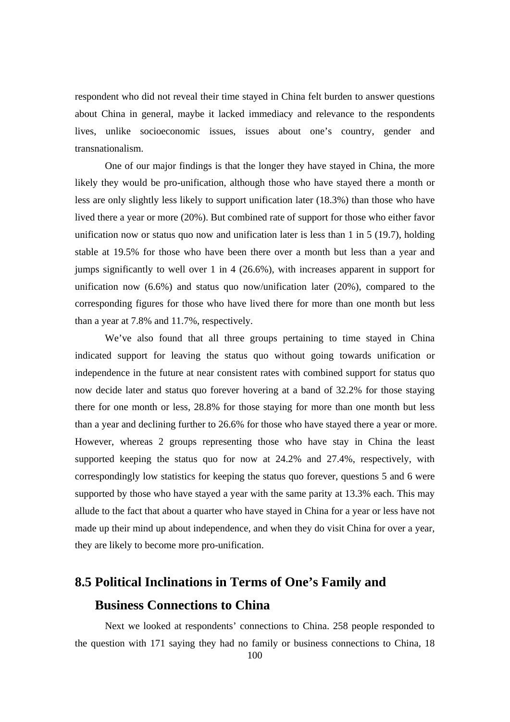respondent who did not reveal their time stayed in China felt burden to answer questions about China in general, maybe it lacked immediacy and relevance to the respondents lives, unlike socioeconomic issues, issues about one's country, gender and transnationalism.

 One of our major findings is that the longer they have stayed in China, the more likely they would be pro-unification, although those who have stayed there a month or less are only slightly less likely to support unification later (18.3%) than those who have lived there a year or more (20%). But combined rate of support for those who either favor unification now or status quo now and unification later is less than 1 in 5 (19.7), holding stable at 19.5% for those who have been there over a month but less than a year and jumps significantly to well over 1 in 4 (26.6%), with increases apparent in support for unification now (6.6%) and status quo now/unification later (20%), compared to the corresponding figures for those who have lived there for more than one month but less than a year at 7.8% and 11.7%, respectively.

 We've also found that all three groups pertaining to time stayed in China indicated support for leaving the status quo without going towards unification or independence in the future at near consistent rates with combined support for status quo now decide later and status quo forever hovering at a band of 32.2% for those staying there for one month or less, 28.8% for those staying for more than one month but less than a year and declining further to 26.6% for those who have stayed there a year or more. However, whereas 2 groups representing those who have stay in China the least supported keeping the status quo for now at 24.2% and 27.4%, respectively, with correspondingly low statistics for keeping the status quo forever, questions 5 and 6 were supported by those who have stayed a year with the same parity at 13.3% each. This may allude to the fact that about a quarter who have stayed in China for a year or less have not made up their mind up about independence, and when they do visit China for over a year, they are likely to become more pro-unification.

#### **8.5 Political Inclinations in Terms of One's Family and Business Connections to China**

 Next we looked at respondents' connections to China. 258 people responded to the question with 171 saying they had no family or business connections to China, 18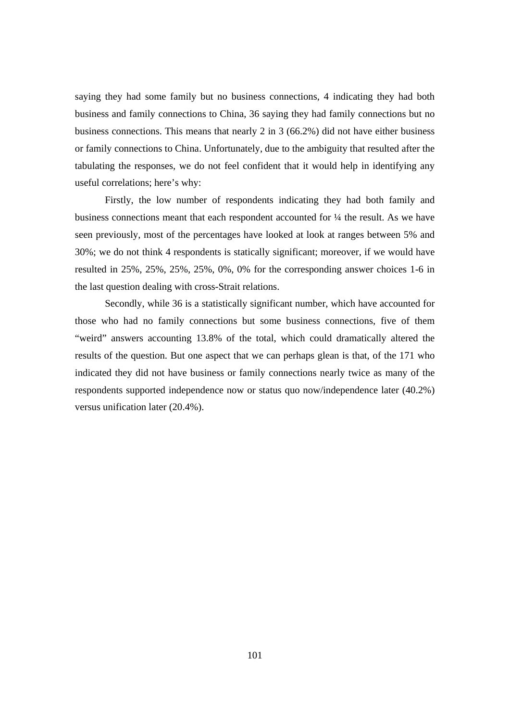saying they had some family but no business connections, 4 indicating they had both business and family connections to China, 36 saying they had family connections but no business connections. This means that nearly 2 in 3 (66.2%) did not have either business or family connections to China. Unfortunately, due to the ambiguity that resulted after the tabulating the responses, we do not feel confident that it would help in identifying any useful correlations; here's why:

Firstly, the low number of respondents indicating they had both family and business connections meant that each respondent accounted for ¼ the result. As we have seen previously, most of the percentages have looked at look at ranges between 5% and 30%; we do not think 4 respondents is statically significant; moreover, if we would have resulted in 25%, 25%, 25%, 25%, 0%, 0% for the corresponding answer choices 1-6 in the last question dealing with cross-Strait relations.

Secondly, while 36 is a statistically significant number, which have accounted for those who had no family connections but some business connections, five of them "weird" answers accounting 13.8% of the total, which could dramatically altered the results of the question. But one aspect that we can perhaps glean is that, of the 171 who indicated they did not have business or family connections nearly twice as many of the respondents supported independence now or status quo now/independence later (40.2%) versus unification later (20.4%).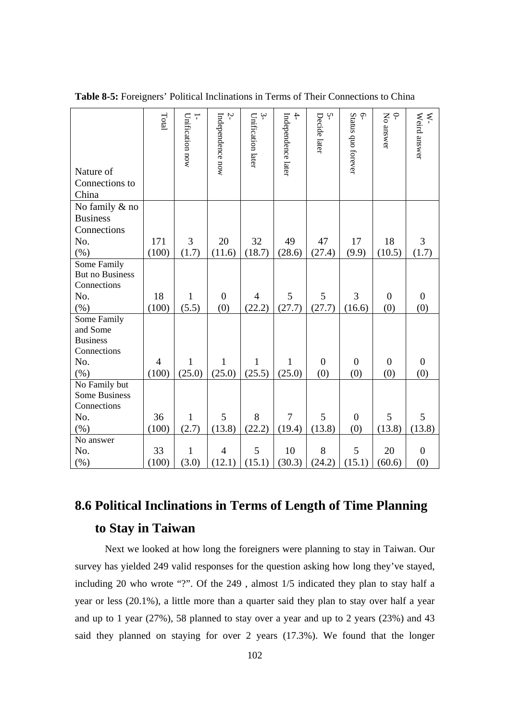| Nature of<br>Connections to<br>China  | Total          | Unification now<br>$\overline{1}$ | $\zeta$<br>Independence now | $\mathfrak{g}$<br>Unification later | $\overline{4}$<br>Independence later | Ņ<br>Decide later | $\varphi$<br>Status quo forever | $\subset \Gamma$<br>No answer | W-<br>Weird answer |
|---------------------------------------|----------------|-----------------------------------|-----------------------------|-------------------------------------|--------------------------------------|-------------------|---------------------------------|-------------------------------|--------------------|
| No family & no                        |                |                                   |                             |                                     |                                      |                   |                                 |                               |                    |
| <b>Business</b><br>Connections        |                |                                   |                             |                                     |                                      |                   |                                 |                               |                    |
| No.                                   | 171            | 3                                 | 20                          | 32                                  | 49                                   | 47                | 17                              | 18                            | 3                  |
| $(\% )$                               | (100)          | (1.7)                             | (11.6)                      | (18.7)                              | (28.6)                               | (27.4)            | (9.9)                           | (10.5)                        | (1.7)              |
| Some Family                           |                |                                   |                             |                                     |                                      |                   |                                 |                               |                    |
| <b>But no Business</b>                |                |                                   |                             |                                     |                                      |                   |                                 |                               |                    |
| Connections                           |                |                                   |                             |                                     |                                      |                   |                                 |                               |                    |
| No.                                   | 18             | $\mathbf{1}$                      | $\overline{0}$              | $\overline{4}$                      | 5                                    | 5                 | 3                               | $\boldsymbol{0}$              | $\boldsymbol{0}$   |
| (% )                                  | (100)          | (5.5)                             | (0)                         | (22.2)                              | (27.7)                               | (27.7)            | (16.6)                          | (0)                           | (0)                |
| Some Family                           |                |                                   |                             |                                     |                                      |                   |                                 |                               |                    |
| and Some                              |                |                                   |                             |                                     |                                      |                   |                                 |                               |                    |
| <b>Business</b>                       |                |                                   |                             |                                     |                                      |                   |                                 |                               |                    |
| Connections                           |                |                                   |                             |                                     |                                      |                   |                                 |                               |                    |
| No.                                   | $\overline{4}$ | $\mathbf{1}$                      | 1                           | 1                                   | 1                                    | $\mathbf{0}$      | $\overline{0}$                  | $\overline{0}$                | $\boldsymbol{0}$   |
| (% )                                  | (100)          | (25.0)                            | (25.0)                      | (25.5)                              | (25.0)                               | (0)               | (0)                             | (0)                           | (0)                |
| No Family but<br><b>Some Business</b> |                |                                   |                             |                                     |                                      |                   |                                 |                               |                    |
| Connections                           |                |                                   |                             |                                     |                                      |                   |                                 |                               |                    |
| No.                                   | 36             | $\mathbf{1}$                      | 5                           | 8                                   | $\overline{7}$                       | 5                 | $\overline{0}$                  | 5                             | 5                  |
| (% )                                  | (100)          | (2.7)                             | (13.8)                      | (22.2)                              | (19.4)                               | (13.8)            | (0)                             | (13.8)                        | (13.8)             |
| No answer                             |                |                                   |                             |                                     |                                      |                   |                                 |                               |                    |
| No.                                   | 33             | $\mathbf{1}$                      | $\overline{4}$              | 5                                   | 10                                   | 8                 | 5                               | 20                            | $\overline{0}$     |
| $(\%)$                                | (100)          | (3.0)                             | (12.1)                      | (15.1)                              | (30.3)                               | (24.2)            | (15.1)                          | (60.6)                        | (0)                |

**Table 8-5:** Foreigners' Political Inclinations in Terms of Their Connections to China

### **8.6 Political Inclinations in Terms of Length of Time Planning to Stay in Taiwan**

 Next we looked at how long the foreigners were planning to stay in Taiwan. Our survey has yielded 249 valid responses for the question asking how long they've stayed, including 20 who wrote "?". Of the 249 , almost 1/5 indicated they plan to stay half a year or less (20.1%), a little more than a quarter said they plan to stay over half a year and up to 1 year (27%), 58 planned to stay over a year and up to 2 years (23%) and 43 said they planned on staying for over 2 years (17.3%). We found that the longer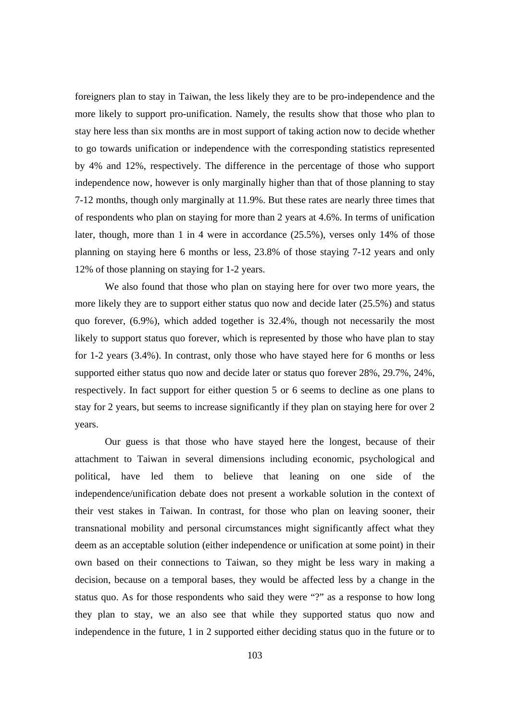foreigners plan to stay in Taiwan, the less likely they are to be pro-independence and the more likely to support pro-unification. Namely, the results show that those who plan to stay here less than six months are in most support of taking action now to decide whether to go towards unification or independence with the corresponding statistics represented by 4% and 12%, respectively. The difference in the percentage of those who support independence now, however is only marginally higher than that of those planning to stay 7-12 months, though only marginally at 11.9%. But these rates are nearly three times that of respondents who plan on staying for more than 2 years at 4.6%. In terms of unification later, though, more than 1 in 4 were in accordance (25.5%), verses only 14% of those planning on staying here 6 months or less, 23.8% of those staying 7-12 years and only 12% of those planning on staying for 1-2 years.

 We also found that those who plan on staying here for over two more years, the more likely they are to support either status quo now and decide later (25.5%) and status quo forever, (6.9%), which added together is 32.4%, though not necessarily the most likely to support status quo forever, which is represented by those who have plan to stay for 1-2 years (3.4%). In contrast, only those who have stayed here for 6 months or less supported either status quo now and decide later or status quo forever 28%, 29.7%, 24%, respectively. In fact support for either question 5 or 6 seems to decline as one plans to stay for 2 years, but seems to increase significantly if they plan on staying here for over 2 years.

Our guess is that those who have stayed here the longest, because of their attachment to Taiwan in several dimensions including economic, psychological and political, have led them to believe that leaning on one side of the independence/unification debate does not present a workable solution in the context of their vest stakes in Taiwan. In contrast, for those who plan on leaving sooner, their transnational mobility and personal circumstances might significantly affect what they deem as an acceptable solution (either independence or unification at some point) in their own based on their connections to Taiwan, so they might be less wary in making a decision, because on a temporal bases, they would be affected less by a change in the status quo. As for those respondents who said they were "?" as a response to how long they plan to stay, we an also see that while they supported status quo now and independence in the future, 1 in 2 supported either deciding status quo in the future or to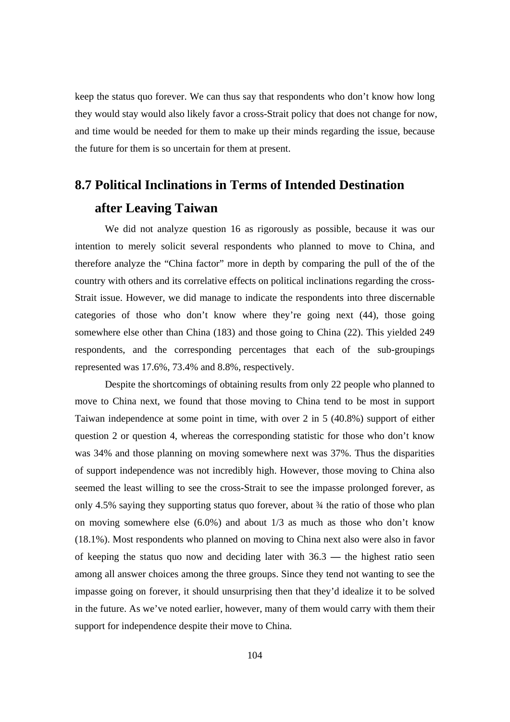keep the status quo forever. We can thus say that respondents who don't know how long they would stay would also likely favor a cross-Strait policy that does not change for now, and time would be needed for them to make up their minds regarding the issue, because the future for them is so uncertain for them at present.

#### **8.7 Political Inclinations in Terms of Intended Destination after Leaving Taiwan**

We did not analyze question 16 as rigorously as possible, because it was our intention to merely solicit several respondents who planned to move to China, and therefore analyze the "China factor" more in depth by comparing the pull of the of the country with others and its correlative effects on political inclinations regarding the cross-Strait issue. However, we did manage to indicate the respondents into three discernable categories of those who don't know where they're going next (44), those going somewhere else other than China (183) and those going to China (22). This yielded 249 respondents, and the corresponding percentages that each of the sub-groupings represented was 17.6%, 73.4% and 8.8%, respectively.

Despite the shortcomings of obtaining results from only 22 people who planned to move to China next, we found that those moving to China tend to be most in support Taiwan independence at some point in time, with over 2 in 5 (40.8%) support of either question 2 or question 4, whereas the corresponding statistic for those who don't know was 34% and those planning on moving somewhere next was 37%. Thus the disparities of support independence was not incredibly high. However, those moving to China also seemed the least willing to see the cross-Strait to see the impasse prolonged forever, as only 4.5% saying they supporting status quo forever, about ¾ the ratio of those who plan on moving somewhere else (6.0%) and about 1/3 as much as those who don't know (18.1%). Most respondents who planned on moving to China next also were also in favor of keeping the status quo now and deciding later with 36.3 **—** the highest ratio seen among all answer choices among the three groups. Since they tend not wanting to see the impasse going on forever, it should unsurprising then that they'd idealize it to be solved in the future. As we've noted earlier, however, many of them would carry with them their support for independence despite their move to China.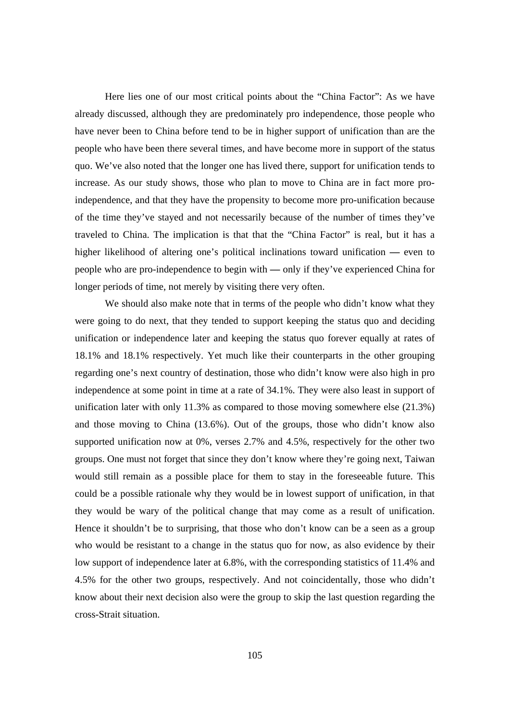Here lies one of our most critical points about the "China Factor": As we have already discussed, although they are predominately pro independence, those people who have never been to China before tend to be in higher support of unification than are the people who have been there several times, and have become more in support of the status quo. We've also noted that the longer one has lived there, support for unification tends to increase. As our study shows, those who plan to move to China are in fact more proindependence, and that they have the propensity to become more pro-unification because of the time they've stayed and not necessarily because of the number of times they've traveled to China. The implication is that that the "China Factor" is real, but it has a higher likelihood of altering one's political inclinations toward unification **—** even to people who are pro-independence to begin with **—** only if they've experienced China for longer periods of time, not merely by visiting there very often.

We should also make note that in terms of the people who didn't know what they were going to do next, that they tended to support keeping the status quo and deciding unification or independence later and keeping the status quo forever equally at rates of 18.1% and 18.1% respectively. Yet much like their counterparts in the other grouping regarding one's next country of destination, those who didn't know were also high in pro independence at some point in time at a rate of 34.1%. They were also least in support of unification later with only 11.3% as compared to those moving somewhere else (21.3%) and those moving to China (13.6%). Out of the groups, those who didn't know also supported unification now at 0%, verses 2.7% and 4.5%, respectively for the other two groups. One must not forget that since they don't know where they're going next, Taiwan would still remain as a possible place for them to stay in the foreseeable future. This could be a possible rationale why they would be in lowest support of unification, in that they would be wary of the political change that may come as a result of unification. Hence it shouldn't be to surprising, that those who don't know can be a seen as a group who would be resistant to a change in the status quo for now, as also evidence by their low support of independence later at 6.8%, with the corresponding statistics of 11.4% and 4.5% for the other two groups, respectively. And not coincidentally, those who didn't know about their next decision also were the group to skip the last question regarding the cross-Strait situation.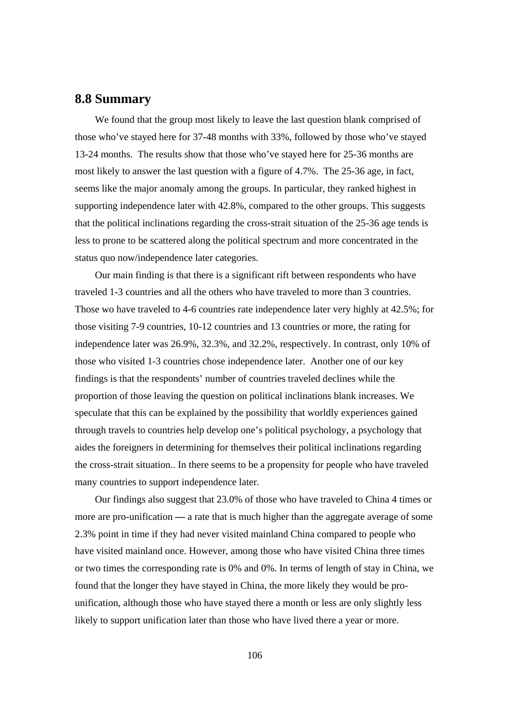#### **8.8 Summary**

We found that the group most likely to leave the last question blank comprised of those who've stayed here for 37-48 months with 33%, followed by those who've stayed 13-24 months. The results show that those who've stayed here for 25-36 months are most likely to answer the last question with a figure of 4.7%. The 25-36 age, in fact, seems like the major anomaly among the groups. In particular, they ranked highest in supporting independence later with 42.8%, compared to the other groups. This suggests that the political inclinations regarding the cross-strait situation of the 25-36 age tends is less to prone to be scattered along the political spectrum and more concentrated in the status quo now/independence later categories.

Our main finding is that there is a significant rift between respondents who have traveled 1-3 countries and all the others who have traveled to more than 3 countries. Those wo have traveled to 4-6 countries rate independence later very highly at 42.5%; for those visiting 7-9 countries, 10-12 countries and 13 countries or more, the rating for independence later was 26.9%, 32.3%, and 32.2%, respectively. In contrast, only 10% of those who visited 1-3 countries chose independence later. Another one of our key findings is that the respondents' number of countries traveled declines while the proportion of those leaving the question on political inclinations blank increases. We speculate that this can be explained by the possibility that worldly experiences gained through travels to countries help develop one's political psychology, a psychology that aides the foreigners in determining for themselves their political inclinations regarding the cross-strait situation.. In there seems to be a propensity for people who have traveled many countries to support independence later.

Our findings also suggest that 23.0% of those who have traveled to China 4 times or more are pro-unification **—** a rate that is much higher than the aggregate average of some 2.3% point in time if they had never visited mainland China compared to people who have visited mainland once. However, among those who have visited China three times or two times the corresponding rate is 0% and 0%. In terms of length of stay in China, we found that the longer they have stayed in China, the more likely they would be prounification, although those who have stayed there a month or less are only slightly less likely to support unification later than those who have lived there a year or more.